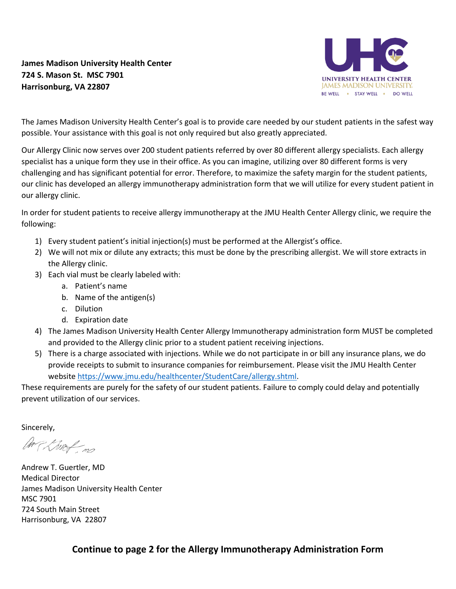## **James Madison University Health Center 724 S. Mason St. MSC 7901 Harrisonburg, VA 22807**



The James Madison University Health Center's goal is to provide care needed by our student patients in the safest way possible. Your assistance with this goal is not only required but also greatly appreciated.

Our Allergy Clinic now serves over 200 student patients referred by over 80 different allergy specialists. Each allergy specialist has a unique form they use in their office. As you can imagine, utilizing over 80 different forms is very challenging and has significant potential for error. Therefore, to maximize the safety margin for the student patients, our clinic has developed an allergy immunotherapy administration form that we will utilize for every student patient in our allergy clinic.

In order for student patients to receive allergy immunotherapy at the JMU Health Center Allergy clinic, we require the following:

- 1) Every student patient's initial injection(s) must be performed at the Allergist's office.
- 2) We will not mix or dilute any extracts; this must be done by the prescribing allergist. We will store extracts in the Allergy clinic.
- 3) Each vial must be clearly labeled with:
	- a. Patient's name
	- b. Name of the antigen(s)
	- c. Dilution
	- d. Expiration date
- 4) The James Madison University Health Center Allergy Immunotherapy administration form MUST be completed and provided to the Allergy clinic prior to a student patient receiving injections.
- 5) There is a charge associated with injections. While we do not participate in or bill any insurance plans, we do provide receipts to submit to insurance companies for reimbursement. Please visit the JMU Health Center website [https://www.jmu.edu/healthcenter/StudentCare/allergy.shtml.](https://www.jmu.edu/healthcenter/StudentCare/allergy.shtml)

These requirements are purely for the safety of our student patients. Failure to comply could delay and potentially prevent utilization of our services.

Sincerely,

AMP Kruzf no

Andrew T. Guertler, MD Medical Director James Madison University Health Center MSC 7901 724 South Main Street Harrisonburg, VA 22807

**Continue to page 2 for the Allergy Immunotherapy Administration Form**